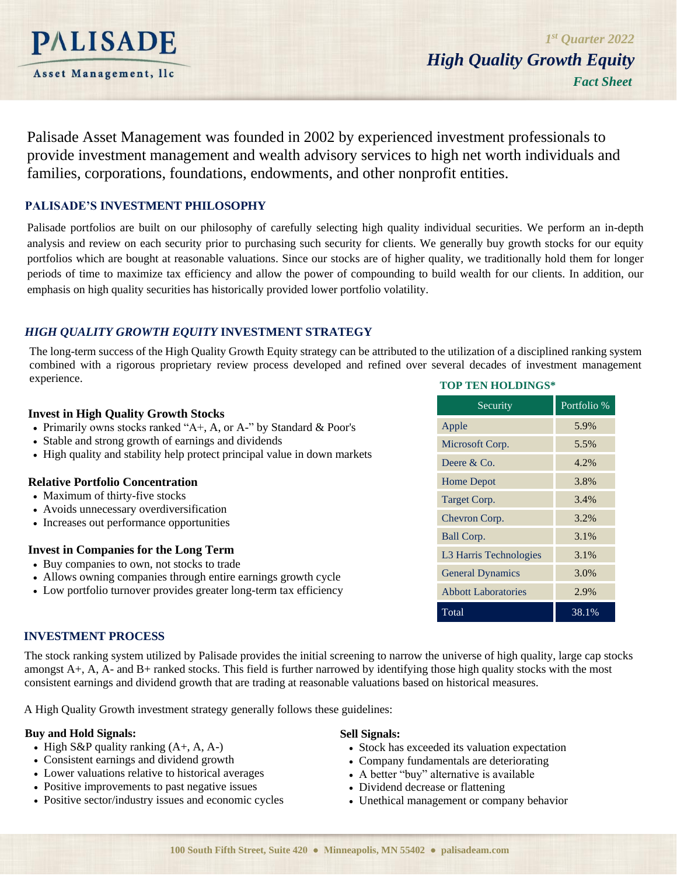

Palisade Asset Management was founded in 2002 by experienced investment professionals to provide investment management and wealth advisory services to high net worth individuals and families, corporations, foundations, endowments, and other nonprofit entities.

# **PALISADE'S INVESTMENT PHILOSOPHY**

Palisade portfolios are built on our philosophy of carefully selecting high quality individual securities. We perform an in-depth analysis and review on each security prior to purchasing such security for clients. We generally buy growth stocks for our equity portfolios which are bought at reasonable valuations. Since our stocks are of higher quality, we traditionally hold them for longer periods of time to maximize tax efficiency and allow the power of compounding to build wealth for our clients. In addition, our emphasis on high quality securities has historically provided lower portfolio volatility.

# *HIGH QUALITY GROWTH EQUITY* **INVESTMENT STRATEGY**

 The long-term success of the High Quality Growth Equity strategy can be attributed to the utilization of a disciplined ranking system combined with a rigorous proprietary review process developed and refined over several decades of investment management experience. **TOP TEN HOLDINGS\***

|                                                                                                                                                                                                         | TOP TEN ROLLUINGS                  |             |  |
|---------------------------------------------------------------------------------------------------------------------------------------------------------------------------------------------------------|------------------------------------|-------------|--|
| <b>Invest in High Quality Growth Stocks</b>                                                                                                                                                             | Security                           | Portfolio % |  |
| • Primarily owns stocks ranked "A+, A, or A-" by Standard & Poor's<br>• Stable and strong growth of earnings and dividends<br>• High quality and stability help protect principal value in down markets | Apple                              | 5.9%        |  |
|                                                                                                                                                                                                         | Microsoft Corp.                    | 5.5%        |  |
|                                                                                                                                                                                                         | Deere & Co.                        | 4.2%        |  |
| <b>Relative Portfolio Concentration</b>                                                                                                                                                                 | <b>Home Depot</b>                  | 3.8%        |  |
| • Maximum of thirty-five stocks                                                                                                                                                                         | Target Corp.                       | 3.4%        |  |
| • Avoids unnecessary overdiversification<br>• Increases out performance opportunities                                                                                                                   | Chevron Corp.                      | 3.2%        |  |
|                                                                                                                                                                                                         | <b>Ball Corp.</b>                  | 3.1%        |  |
| <b>Invest in Companies for the Long Term</b>                                                                                                                                                            | L <sub>3</sub> Harris Technologies | 3.1%        |  |
| • Buy companies to own, not stocks to trade<br>• Allows owning companies through entire earnings growth cycle                                                                                           | <b>General Dynamics</b>            | 3.0%        |  |
| • Low portfolio turnover provides greater long-term tax efficiency                                                                                                                                      | <b>Abbott Laboratories</b>         | 2.9%        |  |
|                                                                                                                                                                                                         | Total                              | 38.1%       |  |

## **INVESTMENT PROCESS**

The stock ranking system utilized by Palisade provides the initial screening to narrow the universe of high quality, large cap stocks amongst A+, A, A- and B+ ranked stocks. This field is further narrowed by identifying those high quality stocks with the most consistent earnings and dividend growth that are trading at reasonable valuations based on historical measures.

A High Quality Growth investment strategy generally follows these guidelines:

#### **Buy and Hold Signals:**

- High S&P quality ranking  $(A+, A, A-)$
- Consistent earnings and dividend growth
- Lower valuations relative to historical averages
- Positive improvements to past negative issues
- Positive sector/industry issues and economic cycles

#### **Sell Signals:**

- Stock has exceeded its valuation expectation
- Company fundamentals are deteriorating
- A better "buy" alternative is available
- Dividend decrease or flattening
- Unethical management or company behavior